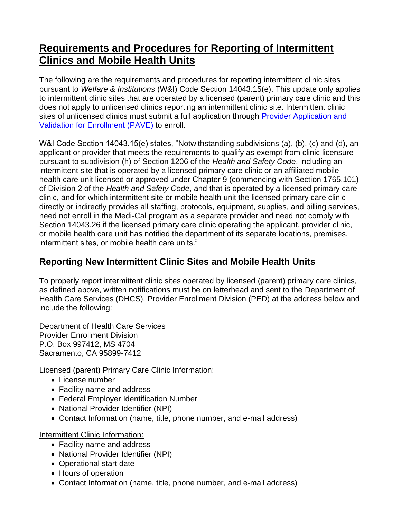## **Requirements and Procedures for Reporting of Intermittent Clinics and Mobile Health Units**

The following are the requirements and procedures for reporting intermittent clinic sites pursuant to *Welfare & Institutions* (W&I) Code Section 14043.15(e). This update only applies to intermittent clinic sites that are operated by a licensed (parent) primary care clinic and this does not apply to unlicensed clinics reporting an intermittent clinic site. Intermittent clinic sites of unlicensed clinics must submit a full application through [Provider Application and](https://www.dhcs.ca.gov/provgovpart/Pages/PAVE.aspx)  [Validation for Enrollment \(PAVE\)](https://www.dhcs.ca.gov/provgovpart/Pages/PAVE.aspx) to enroll.

W&I Code Section 14043.15(e) states, "Notwithstanding subdivisions (a), (b), (c) and (d), an applicant or provider that meets the requirements to qualify as exempt from clinic licensure pursuant to subdivision (h) of Section 1206 of the *Health and Safety Code*, including an intermittent site that is operated by a licensed primary care clinic or an affiliated mobile health care unit licensed or approved under Chapter 9 (commencing with Section 1765.101) of Division 2 of the *Health and Safety Code*, and that is operated by a licensed primary care clinic, and for which intermittent site or mobile health unit the licensed primary care clinic directly or indirectly provides all staffing, protocols, equipment, supplies, and billing services, need not enroll in the Medi-Cal program as a separate provider and need not comply with Section 14043.26 if the licensed primary care clinic operating the applicant, provider clinic, or mobile health care unit has notified the department of its separate locations, premises, intermittent sites, or mobile health care units."

## **Reporting New Intermittent Clinic Sites and Mobile Health Units**

To properly report intermittent clinic sites operated by licensed (parent) primary care clinics, as defined above, written notifications must be on letterhead and sent to the Department of Health Care Services (DHCS), Provider Enrollment Division (PED) at the address below and include the following:

Department of Health Care Services Provider Enrollment Division P.O. Box 997412, MS 4704 Sacramento, CA 95899-7412

Licensed (parent) Primary Care Clinic Information:

- License number
- Facility name and address
- Federal Employer Identification Number
- National Provider Identifier (NPI)
- Contact Information (name, title, phone number, and e-mail address)

Intermittent Clinic Information:

- Facility name and address
- National Provider Identifier (NPI)
- Operational start date
- Hours of operation
- Contact Information (name, title, phone number, and e-mail address)